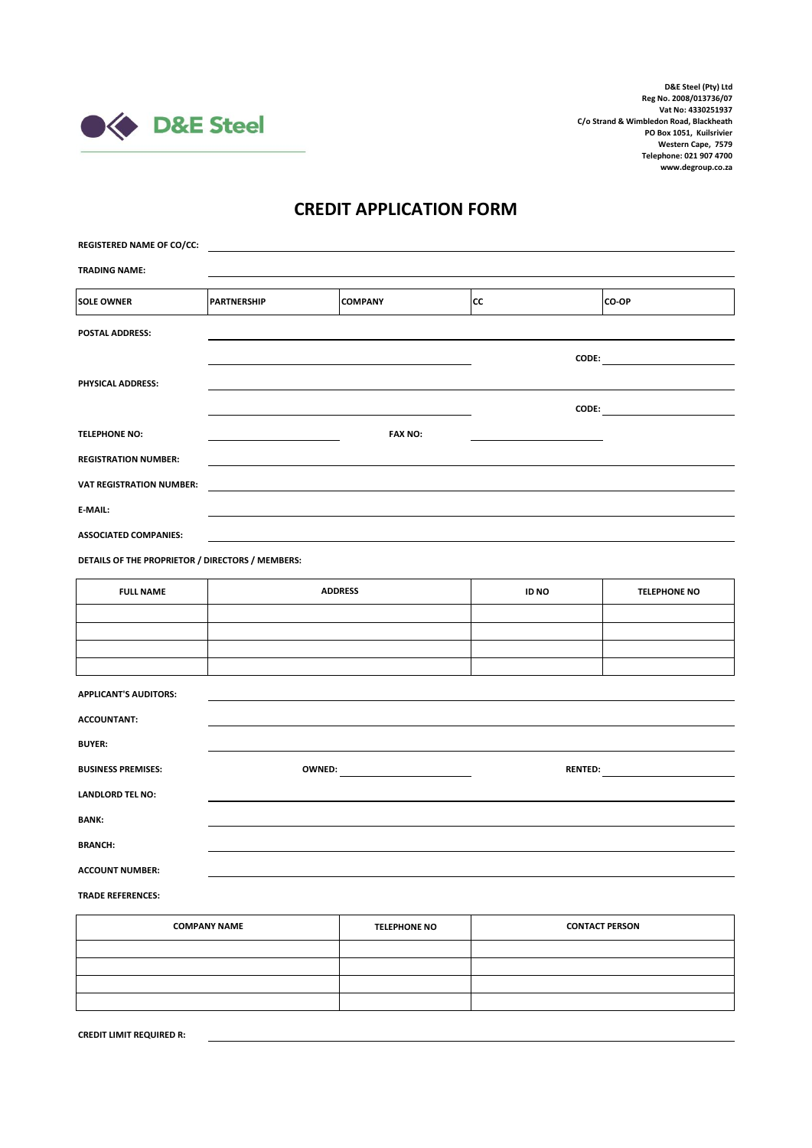

## **CREDIT APPLICATION FORM**

| <b>REGISTERED NAME OF CO/CC:</b>                 |                    |                |                       |                                                                                                                                                                                                                                |  |
|--------------------------------------------------|--------------------|----------------|-----------------------|--------------------------------------------------------------------------------------------------------------------------------------------------------------------------------------------------------------------------------|--|
| <b>TRADING NAME:</b>                             |                    |                |                       |                                                                                                                                                                                                                                |  |
| <b>SOLE OWNER</b>                                | <b>PARTNERSHIP</b> | <b>COMPANY</b> | cc                    | CO-OP                                                                                                                                                                                                                          |  |
| <b>POSTAL ADDRESS:</b>                           |                    |                |                       |                                                                                                                                                                                                                                |  |
|                                                  |                    |                |                       | CODE: the contract of the contract of the contract of the contract of the contract of the contract of the contract of the contract of the contract of the contract of the contract of the contract of the contract of the cont |  |
| PHYSICAL ADDRESS:                                |                    |                |                       |                                                                                                                                                                                                                                |  |
| <b>TELEPHONE NO:</b>                             |                    | <b>FAX NO:</b> |                       | $\text{CODE:}$                                                                                                                                                                                                                 |  |
| <b>REGISTRATION NUMBER:</b>                      |                    |                |                       |                                                                                                                                                                                                                                |  |
| <b>VAT REGISTRATION NUMBER:</b>                  |                    |                |                       |                                                                                                                                                                                                                                |  |
| E-MAIL:                                          |                    |                |                       |                                                                                                                                                                                                                                |  |
| <b>ASSOCIATED COMPANIES:</b>                     |                    |                |                       |                                                                                                                                                                                                                                |  |
| DETAILS OF THE PROPRIETOR / DIRECTORS / MEMBERS: |                    |                |                       |                                                                                                                                                                                                                                |  |
| <b>FULL NAME</b>                                 | <b>ADDRESS</b>     |                | ID NO                 | <b>TELEPHONE NO</b>                                                                                                                                                                                                            |  |
|                                                  |                    |                |                       |                                                                                                                                                                                                                                |  |
|                                                  |                    |                |                       |                                                                                                                                                                                                                                |  |
| <b>APPLICANT'S AUDITORS:</b>                     |                    |                |                       |                                                                                                                                                                                                                                |  |
| <b>ACCOUNTANT:</b>                               |                    |                |                       |                                                                                                                                                                                                                                |  |
| <b>BUYER:</b>                                    |                    |                |                       |                                                                                                                                                                                                                                |  |
| <b>BUSINESS PREMISES:</b>                        |                    |                |                       |                                                                                                                                                                                                                                |  |
| <b>LANDLORD TEL NO:</b>                          |                    |                |                       |                                                                                                                                                                                                                                |  |
| <b>BANK:</b>                                     |                    |                |                       |                                                                                                                                                                                                                                |  |
| <b>BRANCH:</b><br><b>ACCOUNT NUMBER:</b>         |                    |                |                       |                                                                                                                                                                                                                                |  |
| <b>TRADE REFERENCES:</b>                         |                    |                |                       |                                                                                                                                                                                                                                |  |
| <b>COMPANY NAME</b><br><b>TELEPHONE NO</b>       |                    |                | <b>CONTACT PERSON</b> |                                                                                                                                                                                                                                |  |
|                                                  |                    |                |                       |                                                                                                                                                                                                                                |  |

| <b>TELEPHONE NO</b> | <b>CONTACT PERSON</b> |
|---------------------|-----------------------|
|                     |                       |
|                     |                       |
|                     |                       |
|                     |                       |
|                     |                       |

**CREDIT LIMIT REQUIRED R:**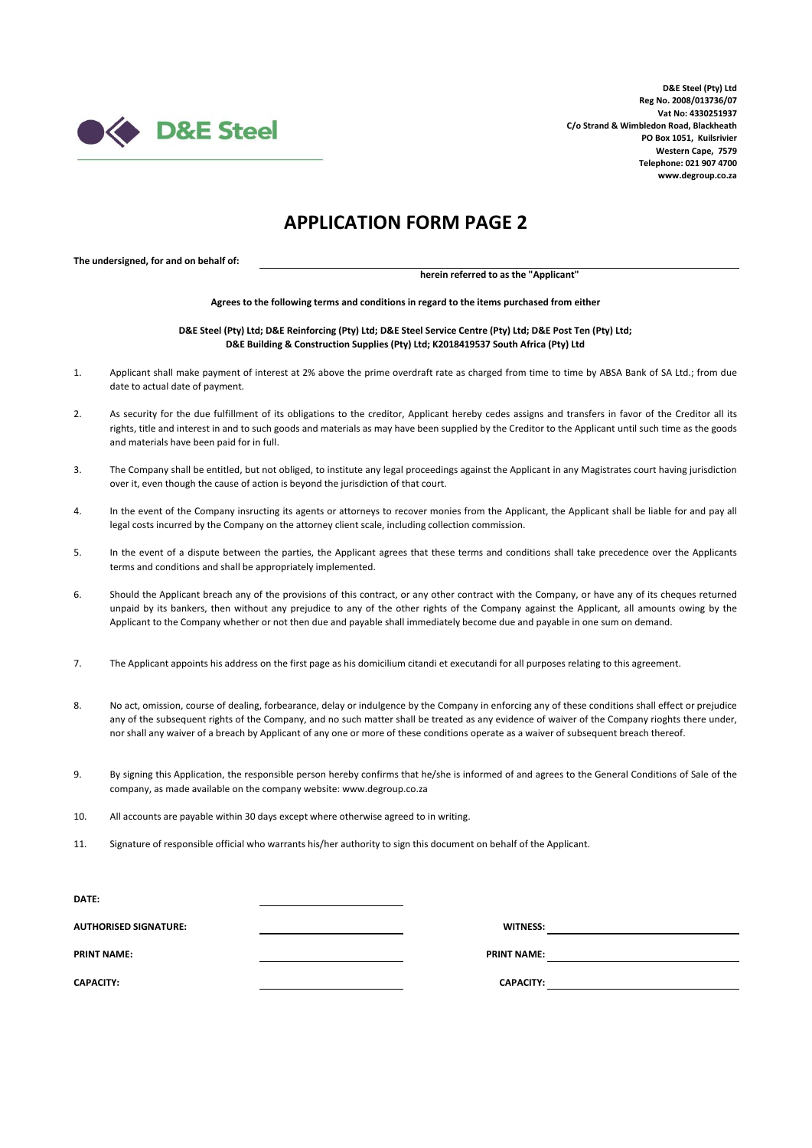

## **APPLICATION FORM PAGE 2**

**The undersigned, for and on behalf of:**

**herein referred to as the "Applicant"**

**Agrees to the following terms and conditions in regard to the items purchased from either**

**D&E Steel (Pty) Ltd; D&E Reinforcing (Pty) Ltd; D&E Steel Service Centre (Pty) Ltd; D&E Post Ten (Pty) Ltd; D&E Building & Construction Supplies (Pty) Ltd; K2018419537 South Africa (Pty) Ltd**

- 1. Applicant shall make payment of interest at 2% above the prime overdraft rate as charged from time to time by ABSA Bank of SA Ltd.; from due date to actual date of payment.
- $2.5$ As security for the due fulfillment of its obligations to the creditor, Applicant hereby cedes assigns and transfers in favor of the Creditor all its rights, title and interest in and to such goods and materials as may have been supplied by the Creditor to the Applicant until such time as the goods and materials have been paid for in full.
- 3. The Company shall be entitled, but not obliged, to institute any legal proceedings against the Applicant in any Magistrates court having jurisdiction over it, even though the cause of action is beyond the jurisdiction of that court.
- 4. In the event of the Company insructing its agents or attorneys to recover monies from the Applicant, the Applicant shall be liable for and pay all legal costs incurred by the Company on the attorney client scale, including collection commission.
- 5. In the event of a dispute between the parties, the Applicant agrees that these terms and conditions shall take precedence over the Applicants terms and conditions and shall be appropriately implemented.
- 6. Should the Applicant breach any of the provisions of this contract, or any other contract with the Company, or have any of its cheques returned unpaid by its bankers, then without any prejudice to any of the other rights of the Company against the Applicant, all amounts owing by the Applicant to the Company whether or not then due and payable shall immediately become due and payable in one sum on demand.
- 7. The Applicant appoints his address on the first page as his domicilium citandi et executandi for all purposes relating to this agreement.
- 8. No act, omission, course of dealing, forbearance, delay or indulgence by the Company in enforcing any of these conditions shall effect or prejudice any of the subsequent rights of the Company, and no such matter shall be treated as any evidence of waiver of the Company rioghts there under, nor shall any waiver of a breach by Applicant of any one or more of these conditions operate as a waiver of subsequent breach thereof.
- 9. By signing this Application, the responsible person hereby confirms that he/she is informed of and agrees to the General Conditions of Sale of the company, as made available on the company website: www.degroup.co.za
- 10. All accounts are payable within 30 days except where otherwise agreed to in writing.
- 11. Signature of responsible official who warrants his/her authority to sign this document on behalf of the Applicant.

| DATE:                        |                    |  |
|------------------------------|--------------------|--|
| <b>AUTHORISED SIGNATURE:</b> | <b>WITNESS:</b>    |  |
| <b>PRINT NAME:</b>           | <b>PRINT NAME:</b> |  |
| <b>CAPACITY:</b>             | <b>CAPACITY:</b>   |  |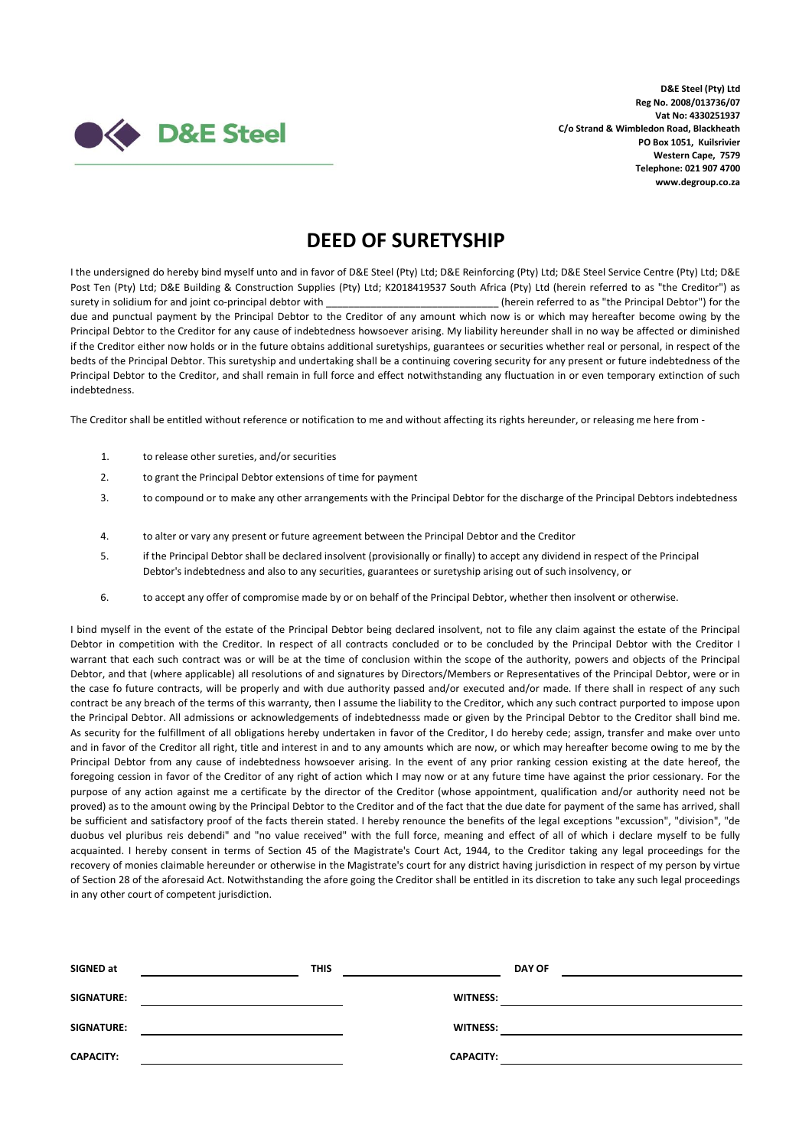

## **DEED OF SURETYSHIP**

I the undersigned do hereby bind myself unto and in favor of D&E Steel (Pty) Ltd; D&E Reinforcing (Pty) Ltd; D&E Steel Service Centre (Pty) Ltd; D&E Post Ten (Pty) Ltd; D&E Building & Construction Supplies (Pty) Ltd; K2018419537 South Africa (Pty) Ltd (herein referred to as "the Creditor") as surety in solidium for and joint co-principal debtor with \_\_\_\_\_\_\_\_\_\_\_\_\_\_\_\_\_\_\_\_\_\_\_\_\_\_\_\_\_\_\_ (herein referred to as "the Principal Debtor") for the due and punctual payment by the Principal Debtor to the Creditor of any amount which now is or which may hereafter become owing by the Principal Debtor to the Creditor for any cause of indebtedness howsoever arising. My liability hereunder shall in no way be affected or diminished if the Creditor either now holds or in the future obtains additional suretyships, guarantees or securities whether real or personal, in respect of the bedts of the Principal Debtor. This suretyship and undertaking shall be a continuing covering security for any present or future indebtedness of the Principal Debtor to the Creditor, and shall remain in full force and effect notwithstanding any fluctuation in or even temporary extinction of such indebtedness.

The Creditor shall be entitled without reference or notification to me and without affecting its rights hereunder, or releasing me here from -

- 1. to release other sureties, and/or securities
- 2. to grant the Principal Debtor extensions of time for payment
- 3. to compound or to make any other arrangements with the Principal Debtor for the discharge of the Principal Debtors indebtedness
- 4. to alter or vary any present or future agreement between the Principal Debtor and the Creditor
- 5. if the Principal Debtor shall be declared insolvent (provisionally or finally) to accept any dividend in respect of the Principal Debtor's indebtedness and also to any securities, guarantees or suretyship arising out of such insolvency, or
- 6. to accept any offer of compromise made by or on behalf of the Principal Debtor, whether then insolvent or otherwise.

I bind myself in the event of the estate of the Principal Debtor being declared insolvent, not to file any claim against the estate of the Principal Debtor in competition with the Creditor. In respect of all contracts concluded or to be concluded by the Principal Debtor with the Creditor I warrant that each such contract was or will be at the time of conclusion within the scope of the authority, powers and objects of the Principal Debtor, and that (where applicable) all resolutions of and signatures by Directors/Members or Representatives of the Principal Debtor, were or in the case fo future contracts, will be properly and with due authority passed and/or executed and/or made. If there shall in respect of any such contract be any breach of the terms of this warranty, then I assume the liability to the Creditor, which any such contract purported to impose upon the Principal Debtor. All admissions or acknowledgements of indebtednesss made or given by the Principal Debtor to the Creditor shall bind me. As security for the fulfillment of all obligations hereby undertaken in favor of the Creditor, I do hereby cede; assign, transfer and make over unto and in favor of the Creditor all right, title and interest in and to any amounts which are now, or which may hereafter become owing to me by the Principal Debtor from any cause of indebtedness howsoever arising. In the event of any prior ranking cession existing at the date hereof, the foregoing cession in favor of the Creditor of any right of action which I may now or at any future time have against the prior cessionary. For the purpose of any action against me a certificate by the director of the Creditor (whose appointment, qualification and/or authority need not be proved) as to the amount owing by the Principal Debtor to the Creditor and of the fact that the due date for payment of the same has arrived, shall be sufficient and satisfactory proof of the facts therein stated. I hereby renounce the benefits of the legal exceptions "excussion", "division", "de duobus vel pluribus reis debendi" and "no value received" with the full force, meaning and effect of all of which i declare myself to be fully acquainted. I hereby consent in terms of Section 45 of the Magistrate's Court Act, 1944, to the Creditor taking any legal proceedings for the recovery of monies claimable hereunder or otherwise in the Magistrate's court for any district having jurisdiction in respect of my person by virtue of Section 28 of the aforesaid Act. Notwithstanding the afore going the Creditor shall be entitled in its discretion to take any such legal proceedings in any other court of competent jurisdiction.

| SIGNED at         | <b>THIS</b> |                  | <b>DAY OF</b> |
|-------------------|-------------|------------------|---------------|
| SIGNATURE:        |             | <b>WITNESS:</b>  |               |
| <b>SIGNATURE:</b> |             | <b>WITNESS:</b>  |               |
| <b>CAPACITY:</b>  |             | <b>CAPACITY:</b> |               |